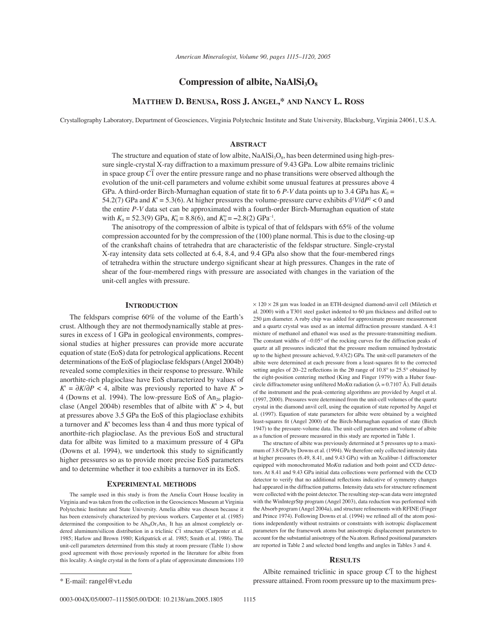# **Compression of albite, NaAlSi<sub>3</sub>O<sub>8</sub>**

## **MATTHEW D. BENUSA, ROSS J. ANGEL,\* AND NANCY L. ROSS**

Crystallography Laboratory, Department of Geosciences, Virginia Polytechnic Institute and State University, Blacksburg, Virginia 24061, U.S.A.

## **ABSTRACT**

The structure and equation of state of low albite,  $NaAISi<sub>3</sub>O<sub>8</sub>$ , has been determined using high-pressure single-crystal X-ray diffraction to a maximum pressure of 9.43 GPa. Low albite remains triclinic In space group *C*<sup>1</sup> over the entire pressure range and no phase transitions were observed although the evolution of the unit-cell parameters and volume exhibit some unusual features at pressures above 4 GPa. A third-order Birch-Murnaghan equation of state fit to 6  $P-V$  data points up to 3.4 GPa has  $K_0 =$ 54.2(7) GPa and  $K = 5.3(6)$ . At higher pressures the volume-pressure curve exhibits  $d^2V/dP^2 < 0$  and the entire *P*-*V* data set can be approximated with a fourth-order Birch-Murnaghan equation of state with  $K_0 = 52.3(9)$  GPa,  $K_0 = 8.8(6)$ , and  $K_0 = -2.8(2)$  GPa<sup>-1</sup>.

The anisotropy of the compression of albite is typical of that of feldspars with 65% of the volume compression accounted for by the compression of the (100) plane normal. This is due to the closing-up of the crankshaft chains of tetrahedra that are characteristic of the feldspar structure. Single-crystal X-ray intensity data sets collected at 6.4, 8.4, and 9.4 GPa also show that the four-membered rings of tetrahedra within the structure undergo significant shear at high pressures. Changes in the rate of shear of the four-membered rings with pressure are associated with changes in the variation of the unit-cell angles with pressure.

### **INTRODUCTION**

The feldspars comprise 60% of the volume of the Earth's crust. Although they are not thermodynamically stable at pressures in excess of 1 GPa in geological environments, compressional studies at higher pressures can provide more accurate equation of state (EoS) data for petrological applications. Recent determinations of the EoS of plagioclase feldspars (Angel 2004b) revealed some complexities in their response to pressure. While anorthite-rich plagioclase have EoS characterized by values of  $K = \partial K / \partial P$  < 4, albite was previously reported to have  $K$  > 4 (Downs et al. 1994). The low-pressure EoS of  $An_{20}$  plagioclase (Angel 2004b) resembles that of albite with  $K' > 4$ , but at pressures above 3.5 GPa the EoS of this plagioclase exhibits a turnover and *K*' becomes less than 4 and thus more typical of anorthite-rich plagioclase. As the previous EoS and structural data for albite was limited to a maximum pressure of 4 GPa (Downs et al. 1994), we undertook this study to significantly higher pressures so as to provide more precise EoS parameters and to determine whether it too exhibits a turnover in its EoS.

#### **EXPERIMENTAL METHODS**

The sample used in this study is from the Amelia Court House locality in Virginia and was taken from the collection in the Geosciences Museum at Virginia Polytechnic Institute and State University. Amelia albite was chosen because it has been extensively characterized by previous workers. Carpenter et al. (1985) determined the composition to be  $Ab_{98}Or<sub>1</sub>An<sub>1</sub>$ . It has an almost completely ordetermined the composition to be riogger-print. It has all almost completely of-<br>dered aluminum/silicon distribution in a triclinic  $\overline{CI}$  structure (Carpenter et al. 1985; Harlow and Brown 1980; Kirkpatrick et al. 1985; Smith et al. 1986). The unit-cell parameters determined from this study at room pressure (Table 1) show good agreement with those previously reported in the literature for albite from this locality. A single crystal in the form of a plate of approximate dimensions 110

 $\times$  120  $\times$  28 µm was loaded in an ETH-designed diamond-anvil cell (Miletich et al. 2000) with a T301 steel gasket indented to 60 μm thickness and drilled out to 250 μm diameter. A ruby chip was added for approximate pressure measurement and a quartz crystal was used as an internal diffraction pressure standard. A 4:1 mixture of methanol and ethanol was used as the pressure-transmitting medium. The constant widths of ∼0.05° of the rocking curves for the diffraction peaks of quartz at all pressures indicated that the pressure medium remained hydrostatic up to the highest pressure achieved, 9.43(2) GPa. The unit-cell parameters of the albite were determined at each pressure from a least-squares fi t to the corrected setting angles of 20–22 reflections in the 20 range of  $10.8^{\circ}$  to  $25.5^{\circ}$  obtained by the eight-position centering method (King and Finger 1979) with a Huber fourcircle diffractometer using unfiltered Mo*Kα* radiation ( $\lambda = 0.7107$  Å). Full details of the instrument and the peak-centering algorithms are provided by Angel et al. (1997, 2000). Pressures were determined from the unit-cell volumes of the quartz crystal in the diamond anvil cell, using the equation of state reported by Angel et al. (1997). Equation of state parameters for albite were obtained by a weighted least-squares fit (Angel 2000) of the Birch-Murnaghan equation of state (Birch 1947) to the pressure-volume data. The unit-cell parameters and volume of albite as a function of pressure measured in this study are reported in Table 1.

The structure of albite was previously determined at 5 pressures up to a maximum of 3.8 GPa by Downs et al. (1994). We therefore only collected intensity data at higher pressures (6.49, 8.41, and 9.43 GPa) with an Xcalibur-1 diffractometer equipped with monochromated Mo*K*α radiation and both point and CCD detectors. At 8.41 and 9.43 GPa initial data collections were performed with the CCD detector to verify that no additional reflections indicative of symmetry changes had appeared in the diffraction patterns. Intensity data sets for structure refinement were collected with the point detector. The resulting step-scan data were integrated with the WinIntegrStp program (Angel 2003), data reduction was performed with the Absorb program (Angel 2004a), and structure refinements with RFINE (Finger and Prince 1974). Following Downs et al. (1994) we refined all of the atom positions independently without restraints or constraints with isotropic displacement parameters for the framework atoms but anisotropic displacement parameters to account for the substantial anisotropy of the Na atom. Refined positional parameters are reported in Table 2 and selected bond lengths and angles in Tables 3 and 4.

### **RESULTS**

Albite remained triclinic in space group  $C\overline{1}$  to the highest \* E-mail: rangel@vt.edu pressure attained. From room pressure up to the maximum pres-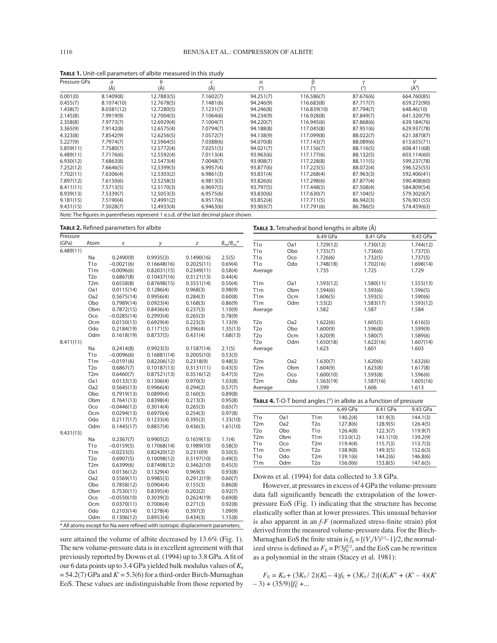| Pressure GPa                                                                         | a          | b          |           | $\alpha$  | β           | γ         | V           |
|--------------------------------------------------------------------------------------|------------|------------|-----------|-----------|-------------|-----------|-------------|
|                                                                                      | (Å)        | (Å)        | (Å)       |           |             |           | $(\AA^3)$   |
| 0.001(0)                                                                             | 8.1409(8)  | 12.7883(5) | 7.1602(7) | 94.251(7) | 116.586(7)  | 87.676(6) | 664.760(85) |
| 0.455(7)                                                                             | 8.1074(10) | 12.7678(5) | 7.1481(6) | 94.246(9) | 116.683(8)  | 87.717(7) | 659.272(90) |
| 1.438(7)                                                                             | 8.0381(12) | 12.7280(5) | 7.1231(7) | 94.246(8) | 116.839(10) | 87.794(7) | 648.46(10)  |
| 2.145(8)                                                                             | 7.9919(9)  | 12.7004(5) | 7.1064(6) | 94.234(9) | 116.928(8)  | 87.849(7) | 641.320(79) |
| 2.358(8)                                                                             | 7.9773(7)  | 12.6929(4) | 7.1004(7) | 94.220(7) | 116.945(6)  | 87.868(6) | 639.184(76) |
| 3.365(9)                                                                             | 7.9142(8)  | 12.6575(4) | 7.0794(7) | 94.188(8) | 117.045(8)  | 87.951(6) | 629.937(78) |
| 4.323(8)                                                                             | 7.8542(9)  | 12.6256(5) | 7.0572(7) | 94.138(9) | 117.099(8)  | 88.022(7) | 621.387(87) |
| 5.227(9)                                                                             | 7.7974(7)  | 12.5964(5) | 7.0388(6) | 94.070(8) | 117.143(7)  | 88.089(6) | 613.655(71) |
| 5.859(11)                                                                            | 7.7580(7)  | 12.5772(4) | 7.0251(5) | 94.021(7) | 117.156(7)  | 88.116(5) | 608.411(68) |
| 6.489(11)                                                                            | 7.7176(6)  | 12.5592(4) | 7.0113(4) | 93.963(6) | 117.177(6)  | 88.132(5) | 603.114(60) |
| 6.930(12)                                                                            | 7.6863(8)  | 12.5473(4) | 7.0048(7) | 93.908(7) | 117.228(8)  | 88.111(5) | 599.237(78) |
| 7.252(12)                                                                            | 7.6646(5)  | 12.5399(3) | 6.9957(4) | 93.877(6) | 117.223(5)  | 88.072(4) | 596.525(55) |
| 7.702(11)                                                                            | 7.6306(4)  | 12.5303(2) | 6.9861(3) | 93.831(4) | 117.268(4)  | 87.963(3) | 592.406(41) |
| 7.897(12)                                                                            | 7.6150(6)  | 12.5258(3) | 6.9813(5) | 93.826(6) | 117.298(6)  | 87.877(4) | 590.408(60) |
| 8.411(11)                                                                            | 7.5713(5)  | 12.5170(3) | 6.9697(5) | 93.797(5) | 117.448(5)  | 87.508(4) | 584.809(54) |
| 8.939(13)                                                                            | 7.5339(7)  | 12.5053(3) | 6.9575(6) | 93.830(6) | 117.630(7)  | 87.104(5) | 579.302(67) |
| 9.181(15)                                                                            | 7.5190(4)  | 12.4991(2) | 6.9517(6) | 93.852(4) | 117.711(5)  | 86.942(3) | 576.901(55) |
| 9.431(15)                                                                            | 7.5028(7)  | 12.4933(4) | 6.9463(6) | 93.903(7) | 117.791(6)  | 86.786(5) | 574.459(63) |
| Note: The figures in parentheses represent 1 e.s.d. of the last decimal place shown. |            |            |           |           |             |           |             |

**TABLE 1.** Unit-cell parameters of albite measured in this study

TABLE 2. Refined parameters for albite

| Pressure<br>(GPa) | Atom                    | X                       | у                        | Z                      | $B_{eq}/B_{iso}$ * |
|-------------------|-------------------------|-------------------------|--------------------------|------------------------|--------------------|
| 6.489(11)         |                         |                         |                          |                        |                    |
|                   | Na                      | 0.2490(9)               | 0.9935(3)                | 0.1490(16)             | 2.5(5)             |
|                   | T <sub>10</sub>         | $-0.0021(6)$            | 0.16648(16)              | 0.2025(11)             | 0.69(4)            |
|                   | T1m                     | $-0.0096(6)$            | 0.82031(15)              | 0.2349(11)             | 0.58(4)            |
|                   | T2 <sub>O</sub>         | 0.6867(8)               | 0.10437(16)              | 0.3121(13)             | 0.44(4)            |
|                   | T <sub>2m</sub>         | 0.6558(8)               | 0.87698(15)              | 0.3551(14)             | 0.50(4)            |
|                   | Oa1                     | 0.0115(14)              | 0.1286(4)                | 0.968(3)               | 0.98(9)            |
|                   | Oa <sub>2</sub>         | 0.5675(14)              | 0.9956(4)                | 0.284(3)               | 0.60(8)            |
|                   | Obo                     | 0.7989(14)              | 0.0923(4)                | 0.168(3)               | 0.86(9)            |
|                   | Obm                     | 0.7872(15)              | 0.8436(4)                | 0.237(3)               | 1.10(9)            |
|                   | Oco                     | $-0.0285(14)$           | 0.2993(4)                | 0.265(3)               | 0.78(9)            |
|                   | Ocm                     | 0.0150(15)              | 0.6929(4)                | 0.223(3)               | 1.13(9)            |
|                   | Odo                     | 0.2184(19)              | 0.1171(5)                | 0.396(4)               | 1.35(13)           |
|                   | Odm                     | 0.1618(19)              | 0.8737(5)                | 0.431(4)               | 1.68(13)           |
| 8.411(11)         |                         |                         |                          |                        |                    |
|                   | <b>Na</b>               | 0.2414(8)               | 0.9923(3)                | 0.1587(14)             | 2.1(5)             |
|                   | T <sub>10</sub>         | $-0.0096(6)$            | 0.16881(14)              | 0.2005(10)             | 0.53(3)            |
|                   | T1m                     | $-0.0191(6)$            | 0.82206(12)              | 0.2318(9)              | 0.48(3)            |
|                   | T <sub>2o</sub>         | 0.6867(7)               | 0.10187(13)              | 0.3131(11)             | 0.43(3)            |
|                   | T2m                     | 0.6460(7)               | 0.87521(13)              | 0.3516(12)             | 0.47(3)            |
|                   | Oa1                     | 0.0133(13)              | 0.1306(4)                | 0.970(3)               | 1.03(8)            |
|                   | Oa <sub>2</sub>         | 0.5645(13)              | 0.9966(4)                | 0.294(2)               | 0.57(7)            |
|                   | Obo                     | 0.7919(13)              | 0.0899(4)                | 0.160(3)               | 0.89(8)            |
|                   | Obm                     | 0.7641(13)              | 0.8398(4)                | 0.213(3)               | 0.95(8)            |
|                   | Oco                     | $-0.0446(12)$           | 0.3014(4)                | 0.265(3)               | 0.65(7)            |
|                   | Ocm                     | 0.0294(13)              | 0.6970(4)                | 0.254(3)               | 0.97(8)            |
|                   | Odo                     | 0.2117(17)              | 0.1233(4)                | 0.395(3)               | 1.33(10)           |
|                   | Odm                     | 0.1445(17)              | 0.8857(4)                | 0.436(3)               | 1.61(10)           |
| 9.431(15)         |                         |                         |                          |                        |                    |
|                   | Na                      | 0.2367(7)               | 0.9905(2)                | 0.1659(13)             | 1.1(4)             |
|                   | T <sub>10</sub>         | $-0.0159(5)$            | 0.17068(14)              | 0.1989(10)             | 0.58(3)            |
|                   | T1m<br>T <sub>2</sub> o | $-0.0233(5)$            | 0.82420(12)              | 0.2310(9)              | 0.50(3)            |
|                   | T2m                     | 0.6907(5)               | 0.10098(12)              | 0.3197(10)             | 0.49(3)            |
|                   | Oa1                     | 0.6399(6)<br>0.0136(12) | 0.87498(12)<br>0.1329(4) | 0.3462(10)<br>0.969(3) | 0.45(3)<br>0.93(8) |
|                   | Oa <sub>2</sub>         | 0.5569(11)              |                          | 0.2912(19)             |                    |
|                   | Obo                     | 0.7858(12)              | 0.9985(3)<br>0.0904(4)   | 0.155(3)               | 0.60(7)<br>0.86(8) |
|                   | Obm                     | 0.7530(11)              | 0.8395(4)                | 0.202(2)               | 0.92(7)            |
|                   | Осо                     | $-0.0550(10)$           | 0.3039(3)                | 0.2624(19)             | 0.69(8)            |
|                   | Ocm                     | 0.0370(11)              | 0.7006(4)                | 0.271(3)               | 0.92(8)            |
|                   | Odo                     | 0.2103(14)              | 0.1278(4)                | 0.397(3)               | 1.09(9)            |
|                   | Odm                     | 0.1306(12)              | 0.8953(4)                | 0.434(3)               | 1.15(8)            |
|                   |                         |                         |                          |                        |                    |

\* All atoms except for Na were refined with isotropic displacement parameters.

sure attained the volume of albite decreased by 13.6% (Fig. 1). The new volume-pressure data is in excellent agreement with that previously reported by Downs et al. (1994) up to 3.8 GPa. A fit of our 6 data points up to 3.4 GPa yielded bulk modulus values of  $K_0$  $= 54.2(7)$  GPa and  $K = 5.3(6)$  for a third-order Birch-Murnaghan EoS. These values are indistinguishable from those reported by

| <b>TABLE 3.</b> Tetrahedral bond lengths in albite (Å)                                  |                                      |                                                         |                                                         |                                                         |  |  |
|-----------------------------------------------------------------------------------------|--------------------------------------|---------------------------------------------------------|---------------------------------------------------------|---------------------------------------------------------|--|--|
|                                                                                         |                                      | 6.49 GPa                                                | 8.41 GPa                                                | 9.43 GPa                                                |  |  |
| T <sub>10</sub><br>T <sub>10</sub><br>T <sub>10</sub><br>T <sub>10</sub><br>Average     | Oa1<br>Obo<br>Oco<br>Odo             | 1.729(12)<br>1.735(7)<br>1.726(6)<br>1.748(18)<br>1.735 | 1.730(12)<br>1.736(6)<br>1.732(5)<br>1.702(16)<br>1.725 | 1.744(12)<br>1.737(5)<br>1.737(5)<br>1.698(14)<br>1.729 |  |  |
| T1m<br>T <sub>1</sub> m<br>T1m<br>T1m<br>Average                                        | Oa1<br>Obm<br>Ocm<br>Odm             | 1.593(12)<br>1.594(6)<br>1.606(5)<br>1.53(2)<br>1.582   | 1.580(11)<br>1.593(6)<br>1.593(5)<br>1.583(17)<br>1.587 | 1.555(13)<br>1.596(5)<br>1.590(6)<br>1.593(12)<br>1.584 |  |  |
| T <sub>20</sub><br>T <sub>2</sub> o<br>T <sub>2</sub> o<br>T <sub>2</sub> o<br>Average  | Oa <sub>2</sub><br>Obo<br>Ocm<br>Odm | 1.622(6)<br>1.600(9)<br>1.620(9)<br>1.650(18)<br>1.623  | 1.605(5)<br>1.596(8)<br>1.580(7)<br>1.622(16)<br>1.601  | 1.616(5)<br>1.599(9)<br>1.589(6)<br>1.607(14)<br>1.603  |  |  |
| T <sub>2</sub> m<br>T <sub>2</sub> m<br>T <sub>2</sub> m<br>T <sub>2</sub> m<br>Average | Oa2<br>Obm<br>Oco<br>Odo             | 1.630(7)<br>1.604(9)<br>1.600(10)<br>1.563(19)<br>1.599 | 1.620(6)<br>1.623(8)<br>1.593(8)<br>1.587(16)<br>1.606  | 1.632(6)<br>1.617(8)<br>1.596(6)<br>1.605(16)<br>1.613  |  |  |

|                  |                 |                  | 6.49 GPa  | 8.41 GPa  | 9.43 GPa |
|------------------|-----------------|------------------|-----------|-----------|----------|
| T <sub>1</sub> o | Oa1             | T <sub>1</sub> m | 140.2(4)  | 141.9(3)  | 144.1(3) |
| T <sub>2</sub> m | Oa <sub>2</sub> | T <sub>2</sub> o | 127.8(6)  | 128.9(5)  | 126.4(5) |
| T <sub>2</sub> o | Obo             | T1 <sub>O</sub>  | 126.4(8)  | 122.3(7)  | 119.9(7) |
| T <sub>2</sub> m | Obm             | T <sub>1</sub> m | 153.0(12) | 143.1(10) | 139.2(9) |
| T <sub>1</sub> o | Oco             | T <sub>2</sub> m | 119.4(4)  | 115.7(3)  | 113.7(3) |
| T <sub>1</sub> m | Ocm             | T <sub>2</sub> o | 138.9(8)  | 149.3(5)  | 152.6(3) |
| T <sub>1</sub> o | Odo             | T <sub>2</sub> m | 139.1(6)  | 144.2(6)  | 146.8(6) |
| T <sub>1</sub> m | Odm             | T2o              | 156.0(6)  | 153.8(5)  | 147.6(5) |

Downs et al. (1994) for data collected to 3.8 GPa.

However, at pressures in excess of 4 GPa the volume-pressure data fall significantly beneath the extrapolation of the lowerpressure EoS (Fig. 1) indicating that the structure has become elastically softer than at lower pressures. This unusual behavior is also apparent in an *f-F* (normalized stress-finite strain) plot derived from the measured volume-pressure data. For the Birch-Murnaghan EoS the finite strain is  $f_E = [(V_o/V)^{2/3}-1]/2$ , the normalized stress is defined as  $F_E = P/3f_E^{5/2}$ , and the EoS can be rewritten as a polynomial in the strain (Stacey et al. 1981):

 $F_{\rm E} = K_0 + (3K_0/2)(K_0 - 4)f_{\rm E} + (3K_0/2)[(K_0K^{\prime\prime} + (K^{\prime} - 4)(K^{\prime})]$  $(-3) + (35/9)$ ] $f_{\rm E}^2 + ...$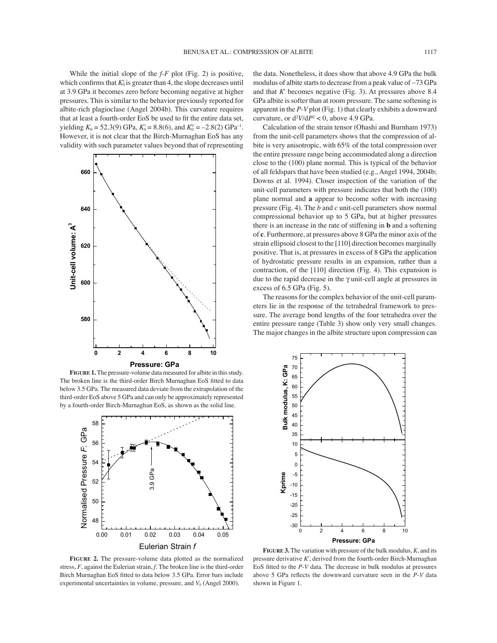While the initial slope of the *f*-*F* plot (Fig. 2) is positive, which confirms that  $K_0$  is greater than 4, the slope decreases until at 3.9 GPa it becomes zero before becoming negative at higher pressures. This is similar to the behavior previously reported for albite-rich plagioclase (Angel 2004b). This curvature requires that at least a fourth-order EoS be used to fit the entire data set, yielding  $K_0 = 52.3(9)$  GPa,  $K_0 = 8.8(6)$ , and  $K_0' = -2.8(2)$  GPa<sup>-1</sup>. However, it is not clear that the Birch-Murnaghan EoS has any validity with such parameter values beyond that of representing



**FIGURE 1.** The pressure-volume data measured for albite in this study. The broken line is the third-order Birch Murnaghan EoS fitted to data below 3.5 GPa. The measured data deviate from the extrapolation of the third-order EoS above 5 GPa and can only be approximately represented by a fourth-order Birch-Murnaghan EoS, as shown as the solid line.



**FIGURE 2.** The pressure-volume data plotted as the normalized stress, *F*, against the Eulerian strain, *f*. The broken line is the third-order Birch Murnaghan EoS fitted to data below 3.5 GPa. Error bars include experimental uncertainties in volume, pressure, and  $V_0$  (Angel 2000).

the data. Nonetheless, it does show that above 4.9 GPa the bulk modulus of albite starts to decrease from a peak value of ∼73 GPa and that *K*' becomes negative (Fig. 3). At pressures above 8.4 GPa albite is softer than at room pressure. The same softening is apparent in the *P*-*V* plot (Fig. 1) that clearly exhibits a downward curvature, or  $d^2V/dP^2 < 0$ , above 4.9 GPa.

Calculation of the strain tensor (Ohashi and Burnham 1973) from the unit-cell parameters shows that the compression of albite is very anisotropic, with 65% of the total compression over the entire pressure range being accommodated along a direction close to the (100) plane normal. This is typical of the behavior of all feldspars that have been studied (e.g., Angel 1994, 2004b; Downs et al. 1994). Closer inspection of the variation of the unit-cell parameters with pressure indicates that both the (100) plane normal and **a** appear to become softer with increasing pressure (Fig. 4). The *b* and *c* unit-cell parameters show normal compressional behavior up to 5 GPa, but at higher pressures there is an increase in the rate of stiffening in **b** and a softening of **c**. Furthermore, at pressures above 8 GPa the minor axis of the strain ellipsoid closest to the [110] direction becomes marginally positive. That is, at pressures in excess of 8 GPa the application of hydrostatic pressure results in an expansion, rather than a contraction, of the [110] direction (Fig. 4). This expansion is due to the rapid decrease in the γ unit-cell angle at pressures in excess of 6.5 GPa (Fig. 5).

The reasons for the complex behavior of the unit-cell parameters lie in the response of the tetrahedral framework to pressure. The average bond lengths of the four tetrahedra over the entire pressure range (Table 3) show only very small changes. The major changes in the albite structure upon compression can



**FIGURE 3.** The variation with pressure of the bulk modulus, *K*, and its pressure derivative *K*', derived from the fourth-order Birch-Murnaghan EoS fi tted to the *P*-*V* data. The decrease in bulk modulus at pressures above 5 GPa reflects the downward curvature seen in the *P*-*V* data shown in Figure 1.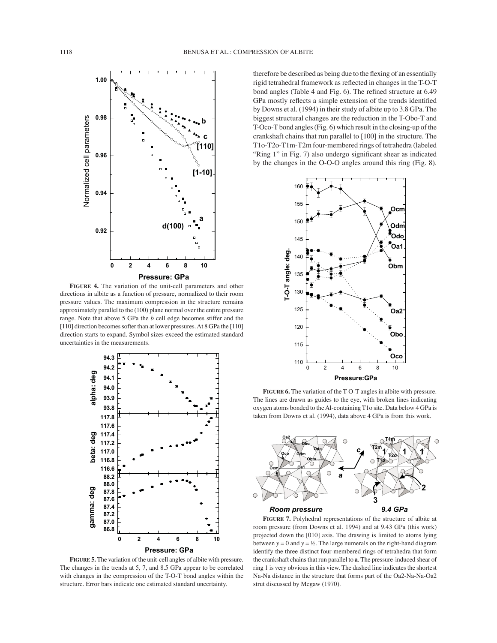

**FIGURE 4.** The variation of the unit-cell parameters and other directions in albite as a function of pressure, normalized to their room pressure values. The maximum compression in the structure remains approximately parallel to the (100) plane normal over the entire pressure range. Note that above 5 GPa the *b* cell edge becomes stiffer and the  $[1\overline{1}0]$  direction becomes softer than at lower pressures. At 8 GPa the  $[110]$ direction starts to expand. Symbol sizes exceed the estimated standard uncertainties in the measurements.



**FIGURE 5.** The variation of the unit-cell angles of albite with pressure. The changes in the trends at 5, 7, and 8.5 GPa appear to be correlated with changes in the compression of the T-O-T bond angles within the structure. Error bars indicate one estimated standard uncertainty.

therefore be described as being due to the flexing of an essentially rigid tetrahedral framework as reflected in changes in the T-O-T bond angles (Table 4 and Fig. 6). The refined structure at 6.49 GPa mostly reflects a simple extension of the trends identified by Downs et al. (1994) in their study of albite up to 3.8 GPa. The biggest structural changes are the reduction in the T-Obo-T and T-Oco-T bond angles (Fig. 6) which result in the closing-up of the crankshaft chains that run parallel to [100] in the structure. The T1o-T2o-T1m-T2m four-membered rings of tetrahedra (labeled "Ring 1" in Fig. 7) also undergo significant shear as indicated by the changes in the O-O-O angles around this ring (Fig. 8).



**FIGURE 6.** The variation of the T-O-T angles in albite with pressure. The lines are drawn as guides to the eye, with broken lines indicating oxygen atoms bonded to the Al-containing T1o site. Data below 4 GPa is taken from Downs et al. (1994), data above 4 GPa is from this work.



**FIGURE 7.** Polyhedral representations of the structure of albite at room pressure (from Downs et al. 1994) and at 9.43 GPa (this work) projected down the [010] axis. The drawing is limited to atoms lying between  $y = 0$  and  $y = ½$ . The large numerals on the right-hand diagram identify the three distinct four-membered rings of tetrahedra that form the crankshaft chains that run parallel to **a**. The pressure-induced shear of ring 1 is very obvious in this view. The dashed line indicates the shortest Na-Na distance in the structure that forms part of the Oa2-Na-Na-Oa2 strut discussed by Megaw (1970).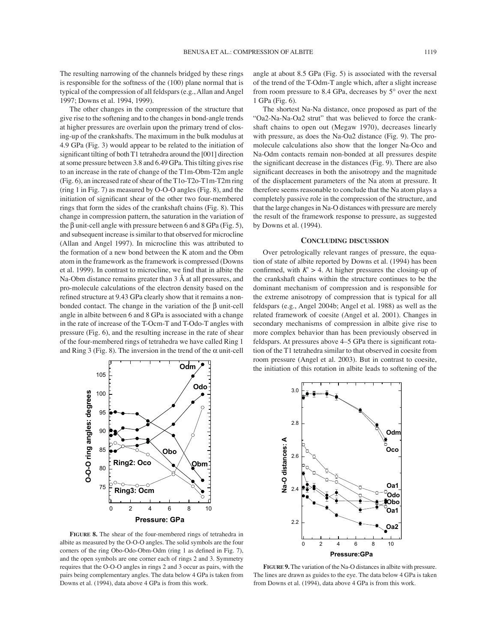The other changes in the compression of the structure that give rise to the softening and to the changes in bond-angle trends at higher pressures are overlain upon the primary trend of closing-up of the crankshafts. The maximum in the bulk modulus at 4.9 GPa (Fig. 3) would appear to be related to the initiation of significant tilting of both T1 tetrahedra around the [001] direction at some pressure between 3.8 and 6.49 GPa. This tilting gives rise to an increase in the rate of change of the T1m-Obm-T2m angle (Fig. 6), an increased rate of shear of the T1o-T2o-T1m-T2m ring (ring 1 in Fig. 7) as measured by O-O-O angles (Fig. 8), and the initiation of significant shear of the other two four-membered rings that form the sides of the crankshaft chains (Fig. 8). This change in compression pattern, the saturation in the variation of the β unit-cell angle with pressure between 6 and 8 GPa (Fig. 5), and subsequent increase is similar to that observed for microcline (Allan and Angel 1997). In microcline this was attributed to the formation of a new bond between the K atom and the Obm atom in the framework as the framework is compressed (Downs et al. 1999). In contrast to microcline, we find that in albite the Na-Obm distance remains greater than 3 Å at all pressures, and pro-molecule calculations of the electron density based on the refined structure at 9.43 GPa clearly show that it remains a nonbonded contact. The change in the variation of the  $\beta$  unit-cell angle in albite between 6 and 8 GPa is associated with a change in the rate of increase of the T-Ocm-T and T-Odo-T angles with pressure (Fig. 6), and the resulting increase in the rate of shear of the four-membered rings of tetrahedra we have called Ring 1 and Ring 3 (Fig. 8). The inversion in the trend of the  $\alpha$  unit-cell

angle at about 8.5 GPa (Fig. 5) is associated with the reversal of the trend of the T-Odm-T angle which, after a slight increase from room pressure to 8.4 GPa, decreases by 5° over the next 1 GPa (Fig. 6).

The shortest Na-Na distance, once proposed as part of the "Oa2-Na-Na-Oa2 strut" that was believed to force the crankshaft chains to open out (Megaw 1970), decreases linearly with pressure, as does the Na-Oa2 distance (Fig. 9). The promolecule calculations also show that the longer Na-Oco and Na-Odm contacts remain non-bonded at all pressures despite the significant decrease in the distances (Fig. 9). There are also significant decreases in both the anisotropy and the magnitude of the displacement parameters of the Na atom at pressure. It therefore seems reasonable to conclude that the Na atom plays a completely passive role in the compression of the structure, and that the large changes in Na-O distances with pressure are merely the result of the framework response to pressure, as suggested by Downs et al. (1994).

## **CONCLUDING DISCUSSION**

Over petrologically relevant ranges of pressure, the equation of state of albite reported by Downs et al. (1994) has been confirmed, with  $K > 4$ . At higher pressures the closing-up of the crankshaft chains within the structure continues to be the dominant mechanism of compression and is responsible for the extreme anisotropy of compression that is typical for all feldspars (e.g., Angel 2004b; Angel et al. 1988) as well as the related framework of coesite (Angel et al. 2001). Changes in secondary mechanisms of compression in albite give rise to more complex behavior than has been previously observed in feldspars. At pressures above 4–5 GPa there is significant rotation of the T1 tetrahedra similar to that observed in coesite from room pressure (Angel et al. 2003). But in contrast to coesite, the initiation of this rotation in albite leads to softening of the



**FIGURE 8.** The shear of the four-membered rings of tetrahedra in albite as measured by the O-O-O angles. The solid symbols are the four corners of the ring Obo-Odo-Obm-Odm (ring 1 as defined in Fig. 7), and the open symbols are one corner each of rings 2 and 3. Symmetry requires that the O-O-O angles in rings 2 and 3 occur as pairs, with the pairs being complementary angles. The data below 4 GPa is taken from Downs et al. (1994), data above 4 GPa is from this work.



**FIGURE 9.** The variation of the Na-O distances in albite with pressure. The lines are drawn as guides to the eye. The data below 4 GPa is taken from Downs et al. (1994), data above 4 GPa is from this work.